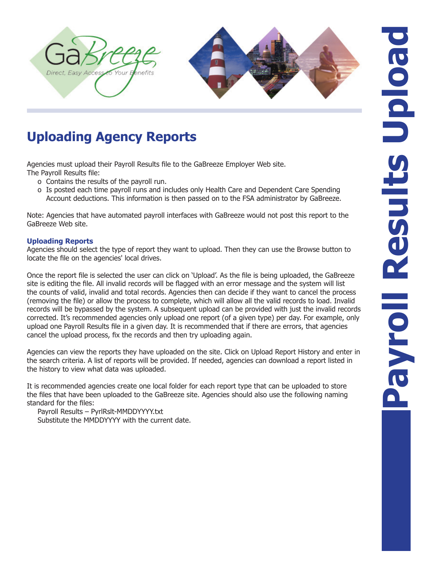



# **Uploading Agency Reports**

Agencies must upload their Payroll Results file to the GaBreeze Employer Web site. The Payroll Results file:

- o Contains the results of the payroll run.
- o Is posted each time payroll runs and includes only Health Care and Dependent Care Spending Account deductions. This information is then passed on to the FSA administrator by GaBreeze.

Note: Agencies that have automated payroll interfaces with GaBreeze would not post this report to the GaBreeze Web site.

### **Uploading Reports**

Agencies should select the type of report they want to upload. Then they can use the Browse button to locate the file on the agencies' local drives.

Once the report file is selected the user can click on 'Upload'. As the file is being uploaded, the GaBreeze site is editing the file. All invalid records will be flagged with an error message and the system will list the counts of valid, invalid and total records. Agencies then can decide if they want to cancel the process (removing the file) or allow the process to complete, which will allow all the valid records to load. Invalid records will be bypassed by the system. A subsequent upload can be provided with just the invalid records corrected. It's recommended agencies only upload one report (of a given type) per day. For example, only upload one Payroll Results file in a given day. It is recommended that if there are errors, that agencies cancel the upload process, fix the records and then try uploading again.

Agencies can view the reports they have uploaded on the site. Click on Upload Report History and enter in the search criteria. A list of reports will be provided. If needed, agencies can download a report listed in the history to view what data was uploaded.

It is recommended agencies create one local folder for each report type that can be uploaded to store the files that have been uploaded to the GaBreeze site. Agencies should also use the following naming standard for the files:

Payroll Results – PyrlRslt-MMDDYYYY.txt Substitute the MMDDYYYY with the current date.